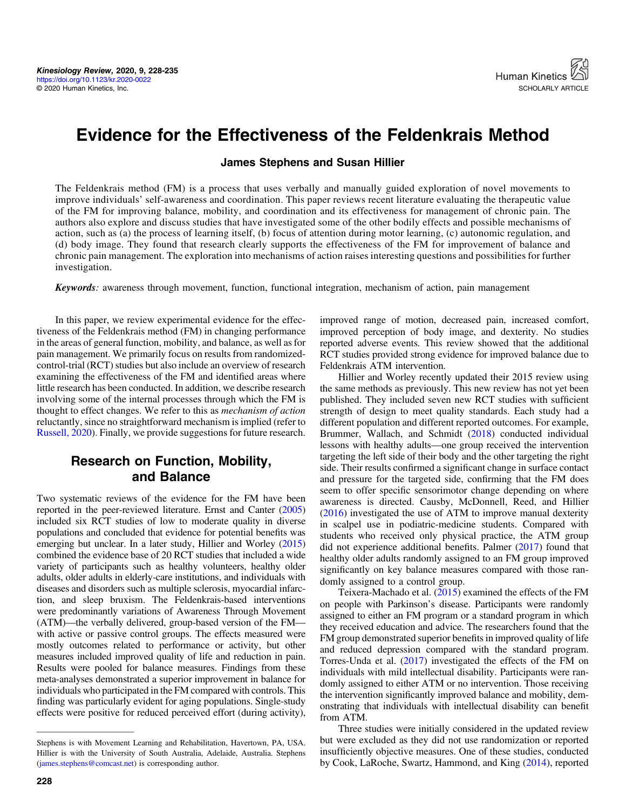# Evidence for the Effectiveness of the Feldenkrais Method

#### James Stephens and Susan Hillier

The Feldenkrais method (FM) is a process that uses verbally and manually guided exploration of novel movements to improve individuals' self-awareness and coordination. This paper reviews recent literature evaluating the therapeutic value of the FM for improving balance, mobility, and coordination and its effectiveness for management of chronic pain. The authors also explore and discuss studies that have investigated some of the other bodily effects and possible mechanisms of action, such as (a) the process of learning itself, (b) focus of attention during motor learning, (c) autonomic regulation, and (d) body image. They found that research clearly supports the effectiveness of the FM for improvement of balance and chronic pain management. The exploration into mechanisms of action raises interesting questions and possibilities for further investigation.

Keywords: awareness through movement, function, functional integration, mechanism of action, pain management

In this paper, we review experimental evidence for the effectiveness of the Feldenkrais method (FM) in changing performance in the areas of general function, mobility, and balance, as well as for pain management. We primarily focus on results from randomizedcontrol-trial (RCT) studies but also include an overview of research examining the effectiveness of the FM and identified areas where little research has been conducted. In addition, we describe research involving some of the internal processes through which the FM is thought to effect changes. We refer to this as mechanism of action reluctantly, since no straightforward mechanism is implied (refer to [Russell, 2020\)](#page-7-0). Finally, we provide suggestions for future research.

# Research on Function, Mobility, and Balance

Two systematic reviews of the evidence for the FM have been reported in the peer-reviewed literature. Ernst and Canter [\(2005\)](#page-6-0) included six RCT studies of low to moderate quality in diverse populations and concluded that evidence for potential benefits was emerging but unclear. In a later study, Hillier and Worley [\(2015\)](#page-6-0) combined the evidence base of 20 RCT studies that included a wide variety of participants such as healthy volunteers, healthy older adults, older adults in elderly-care institutions, and individuals with diseases and disorders such as multiple sclerosis, myocardial infarction, and sleep bruxism. The Feldenkrais-based interventions were predominantly variations of Awareness Through Movement (ATM)—the verbally delivered, group-based version of the FM with active or passive control groups. The effects measured were mostly outcomes related to performance or activity, but other measures included improved quality of life and reduction in pain. Results were pooled for balance measures. Findings from these meta-analyses demonstrated a superior improvement in balance for individuals who participated in the FM compared with controls. This finding was particularly evident for aging populations. Single-study effects were positive for reduced perceived effort (during activity),

improved range of motion, decreased pain, increased comfort, improved perception of body image, and dexterity. No studies reported adverse events. This review showed that the additional RCT studies provided strong evidence for improved balance due to Feldenkrais ATM intervention.

Hillier and Worley recently updated their 2015 review using the same methods as previously. This new review has not yet been published. They included seven new RCT studies with sufficient strength of design to meet quality standards. Each study had a different population and different reported outcomes. For example, Brummer, Wallach, and Schmidt ([2018\)](#page-6-0) conducted individual lessons with healthy adults—one group received the intervention targeting the left side of their body and the other targeting the right side. Their results confirmed a significant change in surface contact and pressure for the targeted side, confirming that the FM does seem to offer specific sensorimotor change depending on where awareness is directed. Causby, McDonnell, Reed, and Hillier [\(2016](#page-6-0)) investigated the use of ATM to improve manual dexterity in scalpel use in podiatric-medicine students. Compared with students who received only physical practice, the ATM group did not experience additional benefits. Palmer [\(2017](#page-7-0)) found that healthy older adults randomly assigned to an FM group improved significantly on key balance measures compared with those randomly assigned to a control group.

Teixera-Machado et al. ([2015\)](#page-7-0) examined the effects of the FM on people with Parkinson's disease. Participants were randomly assigned to either an FM program or a standard program in which they received education and advice. The researchers found that the FM group demonstrated superior benefits in improved quality of life and reduced depression compared with the standard program. Torres-Unda et al. ([2017\)](#page-7-0) investigated the effects of the FM on individuals with mild intellectual disability. Participants were randomly assigned to either ATM or no intervention. Those receiving the intervention significantly improved balance and mobility, demonstrating that individuals with intellectual disability can benefit from ATM.

Three studies were initially considered in the updated review but were excluded as they did not use randomization or reported insufficiently objective measures. One of these studies, conducted by Cook, LaRoche, Swartz, Hammond, and King ([2014\)](#page-6-0), reported

Stephens is with Movement Learning and Rehabilitation, Havertown, PA, USA. Hillier is with the University of South Australia, Adelaide, Australia. Stephens ([james.stephens@comcast.net\)](mailto:james.stephens@comcast.net) is corresponding author.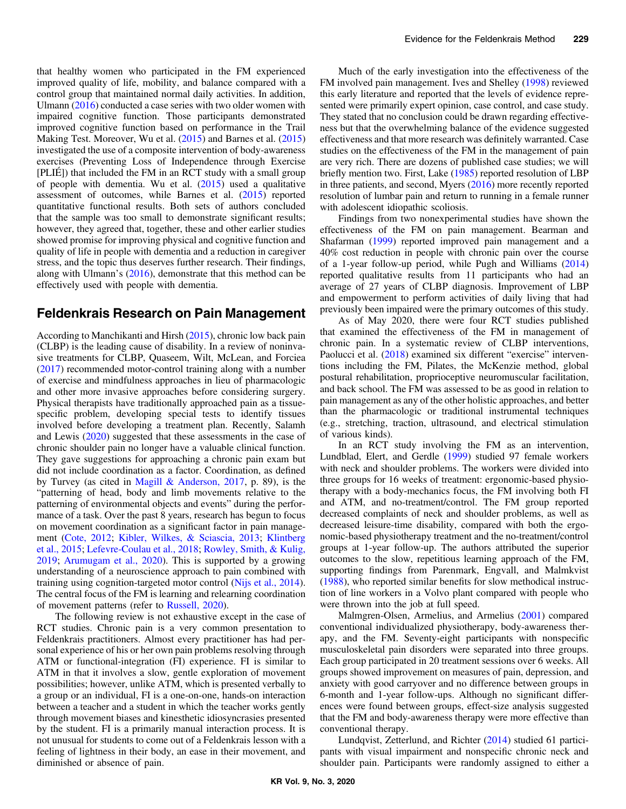that healthy women who participated in the FM experienced improved quality of life, mobility, and balance compared with a control group that maintained normal daily activities. In addition, Ulmann [\(2016](#page-7-0)) conducted a case series with two older women with impaired cognitive function. Those participants demonstrated improved cognitive function based on performance in the Trail Making Test. Moreover, Wu et al. ([2015\)](#page-7-0) and Barnes et al. ([2015\)](#page-5-0) investigated the use of a composite intervention of body-awareness exercises (Preventing Loss of Independence through Exercise [PLIÉ]) that included the FM in an RCT study with a small group of people with dementia. Wu et al.  $(2015)$  $(2015)$  used a qualitative assessment of outcomes, while Barnes et al. [\(2015](#page-5-0)) reported quantitative functional results. Both sets of authors concluded that the sample was too small to demonstrate significant results; however, they agreed that, together, these and other earlier studies showed promise for improving physical and cognitive function and quality of life in people with dementia and a reduction in caregiver stress, and the topic thus deserves further research. Their findings, along with Ulmann's [\(2016](#page-7-0)), demonstrate that this method can be effectively used with people with dementia.

## Feldenkrais Research on Pain Management

According to Manchikanti and Hirsh [\(2015](#page-6-0)), chronic low back pain (CLBP) is the leading cause of disability. In a review of noninvasive treatments for CLBP, Quaseem, Wilt, McLean, and Forciea [\(2017](#page-7-0)) recommended motor-control training along with a number of exercise and mindfulness approaches in lieu of pharmacologic and other more invasive approaches before considering surgery. Physical therapists have traditionally approached pain as a tissuespecific problem, developing special tests to identify tissues involved before developing a treatment plan. Recently, Salamh and Lewis ([2020\)](#page-7-0) suggested that these assessments in the case of chronic shoulder pain no longer have a valuable clinical function. They gave suggestions for approaching a chronic pain exam but did not include coordination as a factor. Coordination, as defined by Turvey (as cited in [Magill & Anderson, 2017](#page-6-0), p. 89), is the "patterning of head, body and limb movements relative to the patterning of environmental objects and events" during the performance of a task. Over the past 8 years, research has begun to focus on movement coordination as a significant factor in pain management [\(Cote, 2012;](#page-6-0) [Kibler, Wilkes, & Sciascia, 2013](#page-6-0); [Klintberg](#page-6-0) [et al., 2015;](#page-6-0) [Lefevre-Coulau et al., 2018](#page-6-0); [Rowley, Smith, & Kulig,](#page-7-0) [2019](#page-7-0); [Arumugam et al., 2020\)](#page-5-0). This is supported by a growing understanding of a neuroscience approach to pain combined with training using cognition-targeted motor control [\(Nijs et al., 2014](#page-7-0)). The central focus of the FM is learning and relearning coordination of movement patterns (refer to [Russell, 2020](#page-7-0)).

The following review is not exhaustive except in the case of RCT studies. Chronic pain is a very common presentation to Feldenkrais practitioners. Almost every practitioner has had personal experience of his or her own pain problems resolving through ATM or functional-integration (FI) experience. FI is similar to ATM in that it involves a slow, gentle exploration of movement possibilities; however, unlike ATM, which is presented verbally to a group or an individual, FI is a one-on-one, hands-on interaction between a teacher and a student in which the teacher works gently through movement biases and kinesthetic idiosyncrasies presented by the student. FI is a primarily manual interaction process. It is not unusual for students to come out of a Feldenkrais lesson with a feeling of lightness in their body, an ease in their movement, and diminished or absence of pain.

Much of the early investigation into the effectiveness of the FM involved pain management. Ives and Shelley [\(1998\)](#page-6-0) reviewed this early literature and reported that the levels of evidence represented were primarily expert opinion, case control, and case study. They stated that no conclusion could be drawn regarding effectiveness but that the overwhelming balance of the evidence suggested effectiveness and that more research was definitely warranted. Case studies on the effectiveness of the FM in the management of pain are very rich. There are dozens of published case studies; we will briefly mention two. First, Lake [\(1985](#page-6-0)) reported resolution of LBP in three patients, and second, Myers ([2016\)](#page-7-0) more recently reported resolution of lumbar pain and return to running in a female runner with adolescent idiopathic scoliosis.

Findings from two nonexperimental studies have shown the effectiveness of the FM on pain management. Bearman and Shafarman [\(1999](#page-6-0)) reported improved pain management and a 40% cost reduction in people with chronic pain over the course of a 1-year follow-up period, while Pugh and Williams ([2014\)](#page-7-0) reported qualitative results from 11 participants who had an average of 27 years of CLBP diagnosis. Improvement of LBP and empowerment to perform activities of daily living that had previously been impaired were the primary outcomes of this study.

As of May 2020, there were four RCT studies published that examined the effectiveness of the FM in management of chronic pain. In a systematic review of CLBP interventions, Paolucci et al. [\(2018](#page-7-0)) examined six different "exercise" interventions including the FM, Pilates, the McKenzie method, global postural rehabilitation, proprioceptive neuromuscular facilitation, and back school. The FM was assessed to be as good in relation to pain management as any of the other holistic approaches, and better than the pharmacologic or traditional instrumental techniques (e.g., stretching, traction, ultrasound, and electrical stimulation of various kinds).

In an RCT study involving the FM as an intervention, Lundblad, Elert, and Gerdle ([1999\)](#page-6-0) studied 97 female workers with neck and shoulder problems. The workers were divided into three groups for 16 weeks of treatment: ergonomic-based physiotherapy with a body-mechanics focus, the FM involving both FI and ATM, and no-treatment/control. The FM group reported decreased complaints of neck and shoulder problems, as well as decreased leisure-time disability, compared with both the ergonomic-based physiotherapy treatment and the no-treatment/control groups at 1-year follow-up. The authors attributed the superior outcomes to the slow, repetitious learning approach of the FM, supporting findings from Parenmark, Engvall, and Malmkvist [\(1988](#page-7-0)), who reported similar benefits for slow methodical instruction of line workers in a Volvo plant compared with people who were thrown into the job at full speed.

Malmgren-Olsen, Armelius, and Armelius ([2001\)](#page-6-0) compared conventional individualized physiotherapy, body-awareness therapy, and the FM. Seventy-eight participants with nonspecific musculoskeletal pain disorders were separated into three groups. Each group participated in 20 treatment sessions over 6 weeks. All groups showed improvement on measures of pain, depression, and anxiety with good carryover and no difference between groups in 6-month and 1-year follow-ups. Although no significant differences were found between groups, effect-size analysis suggested that the FM and body-awareness therapy were more effective than conventional therapy.

Lundqvist, Zetterlund, and Richter ([2014\)](#page-6-0) studied 61 participants with visual impairment and nonspecific chronic neck and shoulder pain. Participants were randomly assigned to either a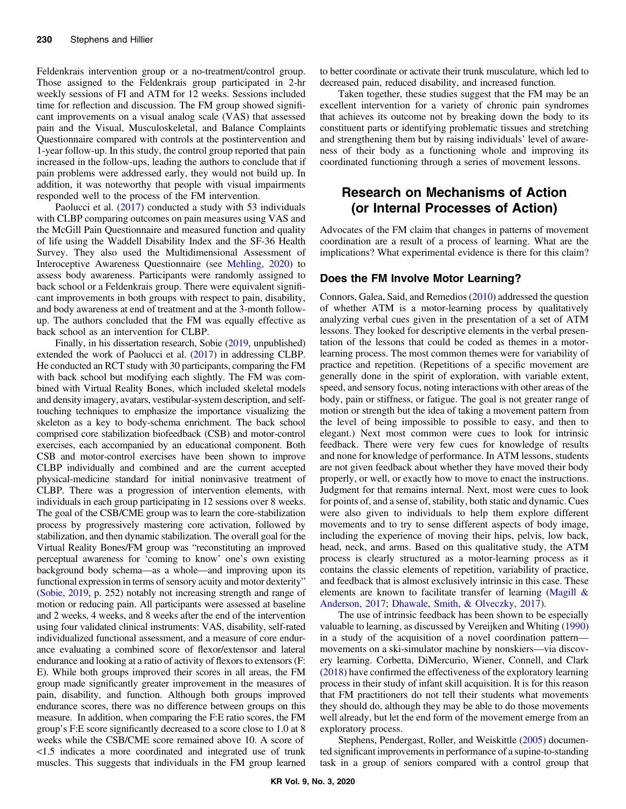Feldenkrais intervention group or a no-treatment/control group. Those assigned to the Feldenkrais group participated in 2-hr weekly sessions of FI and ATM for 12 weeks. Sessions included time for reflection and discussion. The FM group showed significant improvements on a visual analog scale (VAS) that assessed pain and the Visual, Musculoskeletal, and Balance Complaints Questionnaire compared with controls at the postintervention and 1-year follow-up. In this study, the control group reported that pain increased in the follow-ups, leading the authors to conclude that if pain problems were addressed early, they would not build up. In addition, it was noteworthy that people with visual impairments responded well to the process of the FM intervention.

Paolucci et al. ([2017\)](#page-7-0) conducted a study with 53 individuals with CLBP comparing outcomes on pain measures using VAS and the McGill Pain Questionnaire and measured function and quality of life using the Waddell Disability Index and the SF-36 Health Survey. They also used the Multidimensional Assessment of Interoceptive Awareness Questionnaire (see [Mehling, 2020](#page-6-0)) to assess body awareness. Participants were randomly assigned to back school or a Feldenkrais group. There were equivalent significant improvements in both groups with respect to pain, disability, and body awareness at end of treatment and at the 3-month followup. The authors concluded that the FM was equally effective as back school as an intervention for CLBP.

Finally, in his dissertation research, Sobie [\(2019,](#page-7-0) unpublished) extended the work of Paolucci et al. [\(2017\)](#page-7-0) in addressing CLBP. He conducted an RCT study with 30 participants, comparing the FM with back school but modifying each slightly. The FM was combined with Virtual Reality Bones, which included skeletal models and density imagery, avatars, vestibular-system description, and selftouching techniques to emphasize the importance visualizing the skeleton as a key to body-schema enrichment. The back school comprised core stabilization biofeedback (CSB) and motor-control exercises, each accompanied by an educational component. Both CSB and motor-control exercises have been shown to improve CLBP individually and combined and are the current accepted physical-medicine standard for initial noninvasive treatment of CLBP. There was a progression of intervention elements, with individuals in each group participating in 12 sessions over 8 weeks. The goal of the CSB/CME group was to learn the core-stabilization process by progressively mastering core activation, followed by stabilization, and then dynamic stabilization. The overall goal for the Virtual Reality Bones/FM group was "reconstituting an improved perceptual awareness for 'coming to know' one's own existing background body schema—as a whole—and improving upon its functional expression in terms of sensory acuity and motor dexterity" [\(Sobie, 2019,](#page-7-0) p. 252) notably not increasing strength and range of motion or reducing pain. All participants were assessed at baseline and 2 weeks, 4 weeks, and 8 weeks after the end of the intervention using four validated clinical instruments: VAS, disability, self-rated individualized functional assessment, and a measure of core endurance evaluating a combined score of flexor/extensor and lateral endurance and looking at a ratio of activity of flexors to extensors (F: E). While both groups improved their scores in all areas, the FM group made significantly greater improvement in the measures of pain, disability, and function. Although both groups improved endurance scores, there was no difference between groups on this measure. In addition, when comparing the F:E ratio scores, the FM group's F:E score significantly decreased to a score close to 1.0 at 8 weeks while the CSB/CME score remained above 10. A score of <1.5 indicates a more coordinated and integrated use of trunk muscles. This suggests that individuals in the FM group learned to better coordinate or activate their trunk musculature, which led to decreased pain, reduced disability, and increased function.

Taken together, these studies suggest that the FM may be an excellent intervention for a variety of chronic pain syndromes that achieves its outcome not by breaking down the body to its constituent parts or identifying problematic tissues and stretching and strengthening them but by raising individuals' level of awareness of their body as a functioning whole and improving its coordinated functioning through a series of movement lessons.

# Research on Mechanisms of Action (or Internal Processes of Action)

Advocates of the FM claim that changes in patterns of movement coordination are a result of a process of learning. What are the implications? What experimental evidence is there for this claim?

#### Does the FM Involve Motor Learning?

Connors, Galea, Said, and Remedios [\(2010](#page-6-0)) addressed the question of whether ATM is a motor-learning process by qualitatively analyzing verbal cues given in the presentation of a set of ATM lessons. They looked for descriptive elements in the verbal presentation of the lessons that could be coded as themes in a motorlearning process. The most common themes were for variability of practice and repetition. (Repetitions of a specific movement are generally done in the spirit of exploration, with variable extent, speed, and sensory focus, noting interactions with other areas of the body, pain or stiffness, or fatigue. The goal is not greater range of motion or strength but the idea of taking a movement pattern from the level of being impossible to possible to easy, and then to elegant.) Next most common were cues to look for intrinsic feedback. There were very few cues for knowledge of results and none for knowledge of performance. In ATM lessons, students are not given feedback about whether they have moved their body properly, or well, or exactly how to move to enact the instructions. Judgment for that remains internal. Next, most were cues to look for points of, and a sense of, stability, both static and dynamic. Cues were also given to individuals to help them explore different movements and to try to sense different aspects of body image, including the experience of moving their hips, pelvis, low back, head, neck, and arms. Based on this qualitative study, the ATM process is clearly structured as a motor-learning process as it contains the classic elements of repetition, variability of practice, and feedback that is almost exclusively intrinsic in this case. These elements are known to facilitate transfer of learning (Magill  $\&$ [Anderson, 2017;](#page-6-0) [Dhawale, Smith, & Olveczky, 2017\)](#page-6-0).

The use of intrinsic feedback has been shown to be especially valuable to learning, as discussed by Vereijken and Whiting ([1990\)](#page-7-0) in a study of the acquisition of a novel coordination pattern movements on a ski-simulator machine by nonskiers—via discovery learning. Corbetta, DiMercurio, Wiener, Connell, and Clark [\(2018](#page-6-0)) have confirmed the effectiveness of the exploratory learning process in their study of infant skill acquisition. It is for this reason that FM practitioners do not tell their students what movements they should do, although they may be able to do those movements well already, but let the end form of the movement emerge from an exploratory process.

Stephens, Pendergast, Roller, and Weiskittle [\(2005\)](#page-7-0) documented significant improvements in performance of a supine-to-standing task in a group of seniors compared with a control group that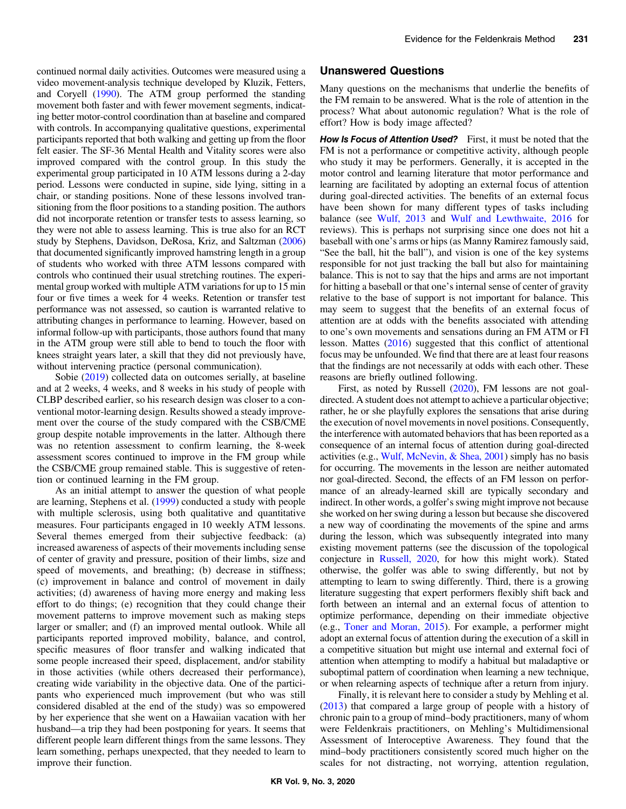continued normal daily activities. Outcomes were measured using a video movement-analysis technique developed by Kluzik, Fetters, and Coryell ([1990\)](#page-6-0). The ATM group performed the standing movement both faster and with fewer movement segments, indicating better motor-control coordination than at baseline and compared with controls. In accompanying qualitative questions, experimental participants reported that both walking and getting up from the floor felt easier. The SF-36 Mental Health and Vitality scores were also improved compared with the control group. In this study the experimental group participated in 10 ATM lessons during a 2-day period. Lessons were conducted in supine, side lying, sitting in a chair, or standing positions. None of these lessons involved transitioning from the floor positions to a standing position. The authors did not incorporate retention or transfer tests to assess learning, so they were not able to assess learning. This is true also for an RCT study by Stephens, Davidson, DeRosa, Kriz, and Saltzman [\(2006\)](#page-7-0) that documented significantly improved hamstring length in a group of students who worked with three ATM lessons compared with controls who continued their usual stretching routines. The experimental group worked with multiple ATM variations for up to 15 min four or five times a week for 4 weeks. Retention or transfer test performance was not assessed, so caution is warranted relative to attributing changes in performance to learning. However, based on informal follow-up with participants, those authors found that many in the ATM group were still able to bend to touch the floor with knees straight years later, a skill that they did not previously have, without intervening practice (personal communication).

Sobie ([2019\)](#page-7-0) collected data on outcomes serially, at baseline and at 2 weeks, 4 weeks, and 8 weeks in his study of people with CLBP described earlier, so his research design was closer to a conventional motor-learning design. Results showed a steady improvement over the course of the study compared with the CSB/CME group despite notable improvements in the latter. Although there was no retention assessment to confirm learning, the 8-week assessment scores continued to improve in the FM group while the CSB/CME group remained stable. This is suggestive of retention or continued learning in the FM group.

As an initial attempt to answer the question of what people are learning, Stephens et al. ([1999\)](#page-7-0) conducted a study with people with multiple sclerosis, using both qualitative and quantitative measures. Four participants engaged in 10 weekly ATM lessons. Several themes emerged from their subjective feedback: (a) increased awareness of aspects of their movements including sense of center of gravity and pressure, position of their limbs, size and speed of movements, and breathing; (b) decrease in stiffness; (c) improvement in balance and control of movement in daily activities; (d) awareness of having more energy and making less effort to do things; (e) recognition that they could change their movement patterns to improve movement such as making steps larger or smaller; and (f) an improved mental outlook. While all participants reported improved mobility, balance, and control, specific measures of floor transfer and walking indicated that some people increased their speed, displacement, and/or stability in those activities (while others decreased their performance), creating wide variability in the objective data. One of the participants who experienced much improvement (but who was still considered disabled at the end of the study) was so empowered by her experience that she went on a Hawaiian vacation with her husband—a trip they had been postponing for years. It seems that different people learn different things from the same lessons. They learn something, perhaps unexpected, that they needed to learn to improve their function.

#### Unanswered Questions

Many questions on the mechanisms that underlie the benefits of the FM remain to be answered. What is the role of attention in the process? What about autonomic regulation? What is the role of effort? How is body image affected?

How Is Focus of Attention Used? First, it must be noted that the FM is not a performance or competitive activity, although people who study it may be performers. Generally, it is accepted in the motor control and learning literature that motor performance and learning are facilitated by adopting an external focus of attention during goal-directed activities. The benefits of an external focus have been shown for many different types of tasks including balance (see [Wulf, 2013](#page-7-0) and [Wulf and Lewthwaite, 2016](#page-7-0) for reviews). This is perhaps not surprising since one does not hit a baseball with one's arms or hips (as Manny Ramirez famously said, "See the ball, hit the ball"), and vision is one of the key systems responsible for not just tracking the ball but also for maintaining balance. This is not to say that the hips and arms are not important for hitting a baseball or that one's internal sense of center of gravity relative to the base of support is not important for balance. This may seem to suggest that the benefits of an external focus of attention are at odds with the benefits associated with attending to one's own movements and sensations during an FM ATM or FI lesson. Mattes [\(2016](#page-6-0)) suggested that this conflict of attentional focus may be unfounded. We find that there are at least four reasons that the findings are not necessarily at odds with each other. These reasons are briefly outlined following.

First, as noted by Russell [\(2020](#page-7-0)), FM lessons are not goaldirected. A student does not attempt to achieve a particular objective; rather, he or she playfully explores the sensations that arise during the execution of novel movements in novel positions. Consequently, the interference with automated behaviors that has been reported as a consequence of an internal focus of attention during goal-directed activities (e.g., [Wulf, McNevin, & Shea, 2001\)](#page-7-0) simply has no basis for occurring. The movements in the lesson are neither automated nor goal-directed. Second, the effects of an FM lesson on performance of an already-learned skill are typically secondary and indirect. In other words, a golfer's swing might improve not because she worked on her swing during a lesson but because she discovered a new way of coordinating the movements of the spine and arms during the lesson, which was subsequently integrated into many existing movement patterns (see the discussion of the topological conjecture in [Russell, 2020](#page-7-0), for how this might work). Stated otherwise, the golfer was able to swing differently, but not by attempting to learn to swing differently. Third, there is a growing literature suggesting that expert performers flexibly shift back and forth between an internal and an external focus of attention to optimize performance, depending on their immediate objective (e.g., [Toner and Moran, 2015\)](#page-7-0). For example, a performer might adopt an external focus of attention during the execution of a skill in a competitive situation but might use internal and external foci of attention when attempting to modify a habitual but maladaptive or suboptimal pattern of coordination when learning a new technique, or when relearning aspects of technique after a return from injury.

Finally, it is relevant here to consider a study by Mehling et al. [\(2013](#page-6-0)) that compared a large group of people with a history of chronic pain to a group of mind–body practitioners, many of whom were Feldenkrais practitioners, on Mehling's Multidimensional Assessment of Interoceptive Awareness. They found that the mind–body practitioners consistently scored much higher on the scales for not distracting, not worrying, attention regulation,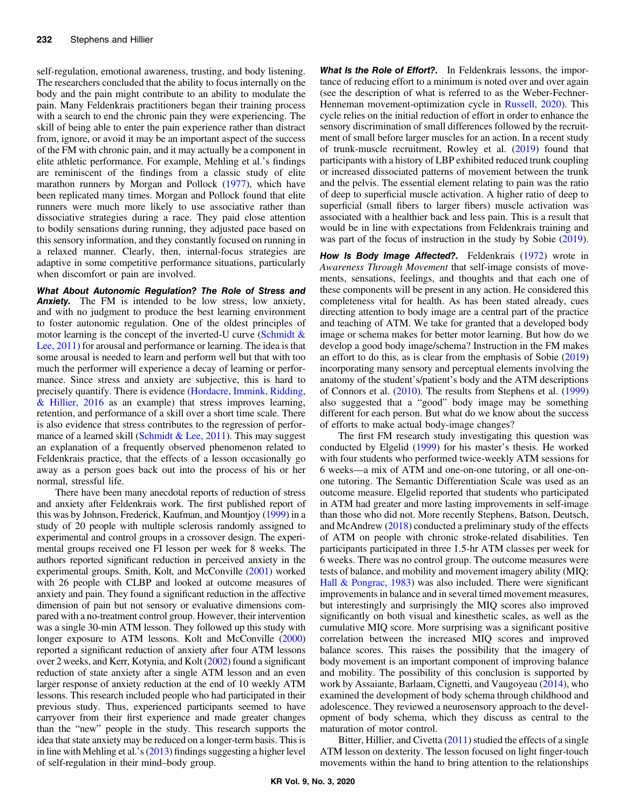self-regulation, emotional awareness, trusting, and body listening. The researchers concluded that the ability to focus internally on the body and the pain might contribute to an ability to modulate the pain. Many Feldenkrais practitioners began their training process with a search to end the chronic pain they were experiencing. The skill of being able to enter the pain experience rather than distract from, ignore, or avoid it may be an important aspect of the success of the FM with chronic pain, and it may actually be a component in elite athletic performance. For example, Mehling et al.'s findings are reminiscent of the findings from a classic study of elite marathon runners by Morgan and Pollock ([1977\)](#page-6-0), which have been replicated many times. Morgan and Pollock found that elite runners were much more likely to use associative rather than dissociative strategies during a race. They paid close attention to bodily sensations during running, they adjusted pace based on this sensory information, and they constantly focused on running in a relaxed manner. Clearly, then, internal-focus strategies are adaptive in some competitive performance situations, particularly when discomfort or pain are involved.

What About Autonomic Regulation? The Role of Stress and **Anxiety.** The FM is intended to be low stress, low anxiety, and with no judgment to produce the best learning environment to foster autonomic regulation. One of the oldest principles of motor learning is the concept of the inverted-U curve (Schmidt  $\&$ [Lee, 2011](#page-7-0)) for arousal and performance or learning. The idea is that some arousal is needed to learn and perform well but that with too much the performer will experience a decay of learning or performance. Since stress and anxiety are subjective, this is hard to precisely quantify. There is evidence ([Hordacre, Immink, Ridding,](#page-6-0) [& Hillier, 2016](#page-6-0) as an example) that stress improves learning, retention, and performance of a skill over a short time scale. There is also evidence that stress contributes to the regression of perfor-mance of a learned skill ([Schmidt & Lee, 2011](#page-7-0)). This may suggest an explanation of a frequently observed phenomenon related to Feldenkrais practice, that the effects of a lesson occasionally go away as a person goes back out into the process of his or her normal, stressful life.

There have been many anecdotal reports of reduction of stress and anxiety after Feldenkrais work. The first published report of this was by Johnson, Frederick, Kaufman, and Mountjoy [\(1999\)](#page-6-0) in a study of 20 people with multiple sclerosis randomly assigned to experimental and control groups in a crossover design. The experimental groups received one FI lesson per week for 8 weeks. The authors reported significant reduction in perceived anxiety in the experimental groups. Smith, Kolt, and McConville ([2001](#page-7-0)) worked with 26 people with CLBP and looked at outcome measures of anxiety and pain. They found a significant reduction in the affective dimension of pain but not sensory or evaluative dimensions compared with a no-treatment control group. However, their intervention was a single 30-min ATM lesson. They followed up this study with longer exposure to ATM lessons. Kolt and McConville [\(2000\)](#page-6-0) reported a significant reduction of anxiety after four ATM lessons over 2 weeks, and Kerr, Kotynia, and Kolt [\(2002\)](#page-6-0) found a significant reduction of state anxiety after a single ATM lesson and an even larger response of anxiety reduction at the end of 10 weekly ATM lessons. This research included people who had participated in their previous study. Thus, experienced participants seemed to have carryover from their first experience and made greater changes than the "new" people in the study. This research supports the idea that state anxiety may be reduced on a longer-term basis. This is in line with Mehling et al.'s ([2013](#page-6-0)) findings suggesting a higher level of self-regulation in their mind–body group.

What Is the Role of Effort?. In Feldenkrais lessons, the importance of reducing effort to a minimum is noted over and over again (see the description of what is referred to as the Weber-Fechner-Henneman movement-optimization cycle in [Russell, 2020](#page-7-0)). This cycle relies on the initial reduction of effort in order to enhance the sensory discrimination of small differences followed by the recruitment of small before larger muscles for an action. In a recent study of trunk-muscle recruitment, Rowley et al. [\(2019](#page-7-0)) found that participants with a history of LBP exhibited reduced trunk coupling or increased dissociated patterns of movement between the trunk and the pelvis. The essential element relating to pain was the ratio of deep to superficial muscle activation. A higher ratio of deep to superficial (small fibers to larger fibers) muscle activation was associated with a healthier back and less pain. This is a result that would be in line with expectations from Feldenkrais training and was part of the focus of instruction in the study by Sobie  $(2019)$  $(2019)$ .

How Is Body Image Affected?. Feldenkrais [\(1972](#page-6-0)) wrote in Awareness Through Movement that self-image consists of movements, sensations, feelings, and thoughts and that each one of these components will be present in any action. He considered this completeness vital for health. As has been stated already, cues directing attention to body image are a central part of the practice and teaching of ATM. We take for granted that a developed body image or schema makes for better motor learning. But how do we develop a good body image/schema? Instruction in the FM makes an effort to do this, as is clear from the emphasis of Sobie ([2019\)](#page-7-0) incorporating many sensory and perceptual elements involving the anatomy of the student's/patient's body and the ATM descriptions of Connors et al. ([2010](#page-6-0)). The results from Stephens et al. ([1999\)](#page-7-0) also suggested that a "good" body image may be something different for each person. But what do we know about the success of efforts to make actual body-image changes?

The first FM research study investigating this question was conducted by Elgelid [\(1999](#page-6-0)) for his master's thesis. He worked with four students who performed twice-weekly ATM sessions for 6 weeks—a mix of ATM and one-on-one tutoring, or all one-onone tutoring. The Semantic Differentiation Scale was used as an outcome measure. Elgelid reported that students who participated in ATM had greater and more lasting improvements in self-image than those who did not. More recently Stephens, Batson, Deutsch, and McAndrew ([2018\)](#page-7-0) conducted a preliminary study of the effects of ATM on people with chronic stroke-related disabilities. Ten participants participated in three 1.5-hr ATM classes per week for 6 weeks. There was no control group. The outcome measures were tests of balance, and mobility and movement imagery ability (MIQ; [Hall & Pongrac, 1983](#page-6-0)) was also included. There were significant improvements in balance and in several timed movement measures, but interestingly and surprisingly the MIQ scores also improved significantly on both visual and kinesthetic scales, as well as the cumulative MIQ score. More surprising was a significant positive correlation between the increased MIQ scores and improved balance scores. This raises the possibility that the imagery of body movement is an important component of improving balance and mobility. The possibility of this conclusion is supported by work by Assaiante, Barlaam, Cignetti, and Vaugoyeau [\(2014](#page-5-0)), who examined the development of body schema through childhood and adolescence. They reviewed a neurosensory approach to the development of body schema, which they discuss as central to the maturation of motor control.

Bitter, Hillier, and Civetta ([2011\)](#page-6-0) studied the effects of a single ATM lesson on dexterity. The lesson focused on light finger-touch movements within the hand to bring attention to the relationships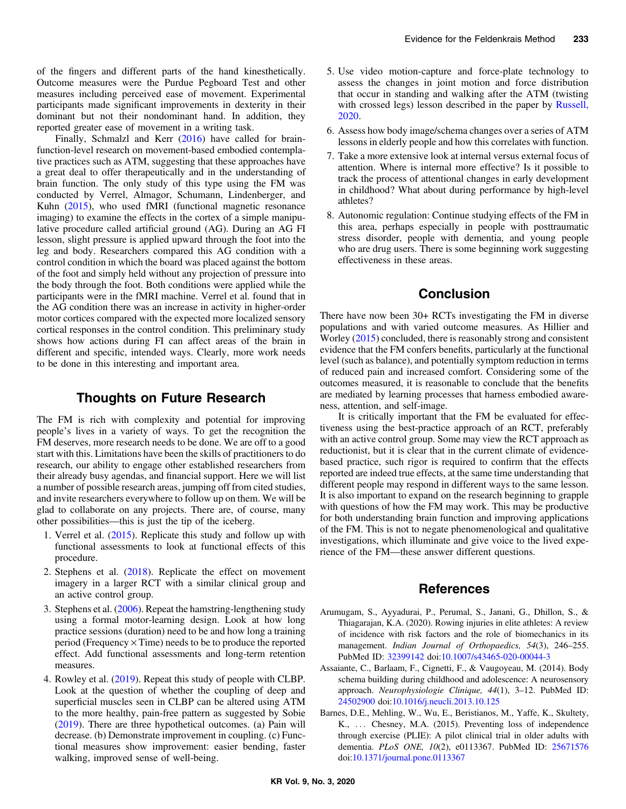<span id="page-5-0"></span>of the fingers and different parts of the hand kinesthetically. Outcome measures were the Purdue Pegboard Test and other measures including perceived ease of movement. Experimental participants made significant improvements in dexterity in their dominant but not their nondominant hand. In addition, they reported greater ease of movement in a writing task.

Finally, Schmalzl and Kerr ([2016\)](#page-7-0) have called for brainfunction-level research on movement-based embodied contemplative practices such as ATM, suggesting that these approaches have a great deal to offer therapeutically and in the understanding of brain function. The only study of this type using the FM was conducted by Verrel, Almagor, Schumann, Lindenberger, and Kuhn [\(2015](#page-7-0)), who used fMRI (functional magnetic resonance imaging) to examine the effects in the cortex of a simple manipulative procedure called artificial ground (AG). During an AG FI lesson, slight pressure is applied upward through the foot into the leg and body. Researchers compared this AG condition with a control condition in which the board was placed against the bottom of the foot and simply held without any projection of pressure into the body through the foot. Both conditions were applied while the participants were in the fMRI machine. Verrel et al. found that in the AG condition there was an increase in activity in higher-order motor cortices compared with the expected more localized sensory cortical responses in the control condition. This preliminary study shows how actions during FI can affect areas of the brain in different and specific, intended ways. Clearly, more work needs to be done in this interesting and important area.

## Thoughts on Future Research

The FM is rich with complexity and potential for improving people's lives in a variety of ways. To get the recognition the FM deserves, more research needs to be done. We are off to a good start with this. Limitations have been the skills of practitioners to do research, our ability to engage other established researchers from their already busy agendas, and financial support. Here we will list a number of possible research areas, jumping off from cited studies, and invite researchers everywhere to follow up on them. We will be glad to collaborate on any projects. There are, of course, many other possibilities—this is just the tip of the iceberg.

- 1. Verrel et al. ([2015\)](#page-7-0). Replicate this study and follow up with functional assessments to look at functional effects of this procedure.
- 2. Stephens et al. [\(2018\)](#page-7-0). Replicate the effect on movement imagery in a larger RCT with a similar clinical group and an active control group.
- 3. Stephens et al. ([2006\)](#page-7-0). Repeat the hamstring-lengthening study using a formal motor-learning design. Look at how long practice sessions (duration) need to be and how long a training period (Frequency  $\times$  Time) needs to be to produce the reported effect. Add functional assessments and long-term retention measures.
- 4. Rowley et al. [\(2019](#page-7-0)). Repeat this study of people with CLBP. Look at the question of whether the coupling of deep and superficial muscles seen in CLBP can be altered using ATM to the more healthy, pain-free pattern as suggested by Sobie ([2019\)](#page-7-0). There are three hypothetical outcomes. (a) Pain will decrease. (b) Demonstrate improvement in coupling. (c) Functional measures show improvement: easier bending, faster walking, improved sense of well-being.
- 5. Use video motion-capture and force-plate technology to assess the changes in joint motion and force distribution that occur in standing and walking after the ATM (twisting with crossed legs) lesson described in the paper by [Russell,](#page-7-0) [2020.](#page-7-0)
- 6. Assess how body image/schema changes over a series of ATM lessons in elderly people and how this correlates with function.
- 7. Take a more extensive look at internal versus external focus of attention. Where is internal more effective? Is it possible to track the process of attentional changes in early development in childhood? What about during performance by high-level athletes?
- 8. Autonomic regulation: Continue studying effects of the FM in this area, perhaps especially in people with posttraumatic stress disorder, people with dementia, and young people who are drug users. There is some beginning work suggesting effectiveness in these areas.

## **Conclusion**

There have now been 30+ RCTs investigating the FM in diverse populations and with varied outcome measures. As Hillier and Worley ([2015\)](#page-6-0) concluded, there is reasonably strong and consistent evidence that the FM confers benefits, particularly at the functional level (such as balance), and potentially symptom reduction in terms of reduced pain and increased comfort. Considering some of the outcomes measured, it is reasonable to conclude that the benefits are mediated by learning processes that harness embodied awareness, attention, and self-image.

It is critically important that the FM be evaluated for effectiveness using the best-practice approach of an RCT, preferably with an active control group. Some may view the RCT approach as reductionist, but it is clear that in the current climate of evidencebased practice, such rigor is required to confirm that the effects reported are indeed true effects, at the same time understanding that different people may respond in different ways to the same lesson. It is also important to expand on the research beginning to grapple with questions of how the FM may work. This may be productive for both understanding brain function and improving applications of the FM. This is not to negate phenomenological and qualitative investigations, which illuminate and give voice to the lived experience of the FM—these answer different questions.

## **References**

- Arumugam, S., Ayyadurai, P., Perumal, S., Janani, G., Dhillon, S., & Thiagarajan, K.A. (2020). Rowing injuries in elite athletes: A review of incidence with risk factors and the role of biomechanics in its management. Indian Journal of Orthopaedics, 54(3), 246–255. PubMed ID: [32399142](http://www.ncbi.nlm.nih.gov/pubmed/32399142?dopt=Abstract) doi:[10.1007/s43465-020-00044-3](https://doi.org/10.1007/s43465-020-00044-3)
- Assaiante, C., Barlaam, F., Cignetti, F., & Vaugoyeau, M. (2014). Body schema building during childhood and adolescence: A neurosensory approach. Neurophysiologie Clinique, 44(1), 3–12. PubMed ID: [24502900](http://www.ncbi.nlm.nih.gov/pubmed/24502900?dopt=Abstract) doi:[10.1016/j.neucli.2013.10.125](https://doi.org/10.1016/j.neucli.2013.10.125)
- Barnes, D.E., Mehling, W., Wu, E., Beristianos, M., Yaffe, K., Skultety, K., ... Chesney, M.A. (2015). Preventing loss of independence through exercise (PLIE): A pilot clinical trial in older adults with dementia. PLoS ONE, 10(2), e0113367. PubMed ID: [25671576](http://www.ncbi.nlm.nih.gov/pubmed/25671576?dopt=Abstract) doi:[10.1371/journal.pone.0113367](https://doi.org/10.1371/journal.pone.0113367)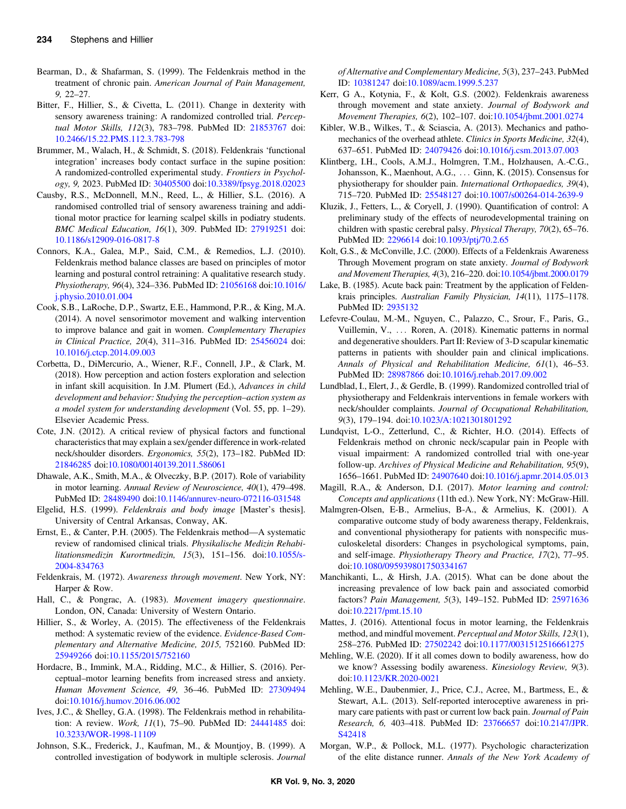- <span id="page-6-0"></span>Bearman, D., & Shafarman, S. (1999). The Feldenkrais method in the treatment of chronic pain. American Journal of Pain Management, 9, 22–27.
- Bitter, F., Hillier, S., & Civetta, L. (2011). Change in dexterity with sensory awareness training: A randomized controlled trial. Perceptual Motor Skills, 112(3), 783–798. PubMed ID: [21853767](http://www.ncbi.nlm.nih.gov/pubmed/21853767?dopt=Abstract) doi: [10.2466/15.22.PMS.112.3.783-798](https://doi.org/10.2466/15.22.PMS.112.3.783-798)
- Brummer, M., Walach, H., & Schmidt, S. (2018). Feldenkrais 'functional integration' increases body contact surface in the supine position: A randomized-controlled experimental study. Frontiers in Psychology, 9, 2023. PubMed ID: [30405500](http://www.ncbi.nlm.nih.gov/pubmed/30405500?dopt=Abstract) doi:[10.3389/fpsyg.2018.02023](https://doi.org/10.3389/fpsyg.2018.02023)
- Causby, R.S., McDonnell, M.N., Reed, L., & Hillier, S.L. (2016). A randomised controlled trial of sensory awareness training and additional motor practice for learning scalpel skills in podiatry students. BMC Medical Education, 16(1), 309. PubMed ID: [27919251](http://www.ncbi.nlm.nih.gov/pubmed/27919251?dopt=Abstract) doi: [10.1186/s12909-016-0817-8](https://doi.org/10.1186/s12909-016-0817-8)
- Connors, K.A., Galea, M.P., Said, C.M., & Remedios, L.J. (2010). Feldenkrais method balance classes are based on principles of motor learning and postural control retraining: A qualitative research study. Physiotherapy, 96(4), 324–336. PubMed ID: [21056168](http://www.ncbi.nlm.nih.gov/pubmed/21056168?dopt=Abstract) doi[:10.1016/](https://doi.org/10.1016/j.physio.2010.01.004) [j.physio.2010.01.004](https://doi.org/10.1016/j.physio.2010.01.004)
- Cook, S.B., LaRoche, D.P., Swartz, E.E., Hammond, P.R., & King, M.A. (2014). A novel sensorimotor movement and walking intervention to improve balance and gait in women. Complementary Therapies in Clinical Practice, 20(4), 311–316. PubMed ID: [25456024](http://www.ncbi.nlm.nih.gov/pubmed/25456024?dopt=Abstract) doi: [10.1016/j.ctcp.2014.09.003](https://doi.org/10.1016/j.ctcp.2014.09.003)
- Corbetta, D., DiMercurio, A., Wiener, R.F., Connell, J.P., & Clark, M. (2018). How perception and action fosters exploration and selection in infant skill acquisition. In J.M. Plumert (Ed.), Advances in child development and behavior: Studying the perception–action system as a model system for understanding development (Vol. 55, pp. 1–29). Elsevier Academic Press.
- Cote, J.N. (2012). A critical review of physical factors and functional characteristics that may explain a sex/gender difference in work-related neck/shoulder disorders. Ergonomics, 55(2), 173–182. PubMed ID: [21846285](http://www.ncbi.nlm.nih.gov/pubmed/21846285?dopt=Abstract) doi:[10.1080/00140139.2011.586061](https://doi.org/10.1080/00140139.2011.586061)
- Dhawale, A.K., Smith, M.A., & Olveczky, B.P. (2017). Role of variability in motor learning. Annual Review of Neuroscience, 40(1), 479–498. PubMed ID: [28489490](http://www.ncbi.nlm.nih.gov/pubmed/28489490?dopt=Abstract) doi[:10.1146/annurev-neuro-072116-031548](https://doi.org/10.1146/annurev-neuro-072116-031548)
- Elgelid, H.S. (1999). Feldenkrais and body image [Master's thesis]. University of Central Arkansas, Conway, AK.
- Ernst, E., & Canter, P.H. (2005). The Feldenkrais method—A systematic review of randomised clinical trials. Physikalische Medizin Rehabilitationsmedizin Kurortmedizin, 15(3), 151–156. doi:[10.1055/s-](https://doi.org/10.1055/s-2004-834763)[2004-834763](https://doi.org/10.1055/s-2004-834763)
- Feldenkrais, M. (1972). Awareness through movement. New York, NY: Harper & Row.
- Hall, C., & Pongrac, A. (1983). Movement imagery questionnaire. London, ON, Canada: University of Western Ontario.
- Hillier, S., & Worley, A. (2015). The effectiveness of the Feldenkrais method: A systematic review of the evidence. Evidence-Based Complementary and Alternative Medicine, 2015, 752160. PubMed ID: [25949266](http://www.ncbi.nlm.nih.gov/pubmed/25949266?dopt=Abstract) doi:[10.1155/2015/752160](https://doi.org/10.1155/2015/752160)
- Hordacre, B., Immink, M.A., Ridding, M.C., & Hillier, S. (2016). Perceptual–motor learning benefits from increased stress and anxiety. Human Movement Science, 49, 36–46. PubMed ID: [27309494](http://www.ncbi.nlm.nih.gov/pubmed/27309494?dopt=Abstract) doi:[10.1016/j.humov.2016.06.002](https://doi.org/10.1016/j.humov.2016.06.002)
- Ives, J.C., & Shelley, G.A. (1998). The Feldenkrais method in rehabilitation: A review. Work, 11(1), 75–90. PubMed ID: [24441485](http://www.ncbi.nlm.nih.gov/pubmed/24441485?dopt=Abstract) doi: [10.3233/WOR-1998-11109](https://doi.org/10.3233/WOR-1998-11109)
- Johnson, S.K., Frederick, J., Kaufman, M., & Mountjoy, B. (1999). A controlled investigation of bodywork in multiple sclerosis. Journal

of Alternative and Complementary Medicine, 5(3), 237–243. PubMed ID: [10381247](http://www.ncbi.nlm.nih.gov/pubmed/10381247?dopt=Abstract) doi[:10.1089/acm.1999.5.237](https://doi.org/10.1089/acm.1999.5.237)

- Kerr, G A., Kotynia, F., & Kolt, G.S. (2002). Feldenkrais awareness through movement and state anxiety. Journal of Bodywork and Movement Therapies, 6(2), 102–107. doi[:10.1054/jbmt.2001.0274](https://doi.org/10.1054/jbmt.2001.0274)
- Kibler, W.B., Wilkes, T., & Sciascia, A. (2013). Mechanics and pathomechanics of the overhead athlete. Clinics in Sports Medicine, 32(4), 637–651. PubMed ID: [24079426](http://www.ncbi.nlm.nih.gov/pubmed/24079426?dopt=Abstract) doi:[10.1016/j.csm.2013.07.003](https://doi.org/10.1016/j.csm.2013.07.003)
- Klintberg, I.H., Cools, A.M.J., Holmgren, T.M., Holzhausen, A.-C.G., Johansson, K., Maenhout, A.G., ::: Ginn, K. (2015). Consensus for physiotherapy for shoulder pain. International Orthopaedics, 39(4), 715–720. PubMed ID: [25548127](http://www.ncbi.nlm.nih.gov/pubmed/25548127?dopt=Abstract) doi:[10.1007/s00264-014-2639-9](https://doi.org/10.1007/s00264-014-2639-9)
- Kluzik, J., Fetters, L., & Coryell, J. (1990). Quantification of control: A preliminary study of the effects of neurodevelopmental training on children with spastic cerebral palsy. Physical Therapy, 70(2), 65–76. PubMed ID: [2296614](http://www.ncbi.nlm.nih.gov/pubmed/2296614?dopt=Abstract) doi[:10.1093/ptj/70.2.65](https://doi.org/10.1093/ptj/70.2.65)
- Kolt, G.S., & McConville, J.C. (2000). Effects of a Feldenkrais Awareness Through Movement program on state anxiety. Journal of Bodywork and Movement Therapies, 4(3), 216–220. doi[:10.1054/jbmt.2000.0179](https://doi.org/10.1054/jbmt.2000.0179)
- Lake, B. (1985). Acute back pain: Treatment by the application of Feldenkrais principles. Australian Family Physician, 14(11), 1175–1178. PubMed ID: [2935132](http://www.ncbi.nlm.nih.gov/pubmed/2935132?dopt=Abstract)
- Lefevre-Coulau, M.-M., Nguyen, C., Palazzo, C., Srour, F., Paris, G., Vuillemin, V., ... Roren, A. (2018). Kinematic patterns in normal and degenerative shoulders. Part II: Review of 3-D scapular kinematic patterns in patients with shoulder pain and clinical implications. Annals of Physical and Rehabilitation Medicine, 61(1), 46–53. PubMed ID: [28987866](http://www.ncbi.nlm.nih.gov/pubmed/28987866?dopt=Abstract) doi:[10.1016/j.rehab.2017.09.002](https://doi.org/10.1016/j.rehab.2017.09.002)
- Lundblad, I., Elert, J., & Gerdle, B. (1999). Randomized controlled trial of physiotherapy and Feldenkrais interventions in female workers with neck/shoulder complaints. Journal of Occupational Rehabilitation, 9(3), 179–194. doi[:10.1023/A:1021301801292](https://doi.org/10.1023/A:1021301801292)
- Lundqvist, L-O., Zetterlund, C., & Richter, H.O. (2014). Effects of Feldenkrais method on chronic neck/scapular pain in People with visual impairment: A randomized controlled trial with one-year follow-up. Archives of Physical Medicine and Rehabilitation, 95(9), 1656–1661. PubMed ID: [24907640](http://www.ncbi.nlm.nih.gov/pubmed/24907640?dopt=Abstract) doi[:10.1016/j.apmr.2014.05.013](https://doi.org/10.1016/j.apmr.2014.05.013)
- Magill, R.A., & Anderson, D.I. (2017). Motor learning and control: Concepts and applications (11th ed.). New York, NY: McGraw-Hill.
- Malmgren-Olsen, E-B., Armelius, B-A., & Armelius, K. (2001). A comparative outcome study of body awareness therapy, Feldenkrais, and conventional physiotherapy for patients with nonspecific musculoskeletal disorders: Changes in psychological symptoms, pain, and self-image. Physiotherapy Theory and Practice, 17(2), 77–95. doi:[10.1080/095939801750334167](https://doi.org/10.1080/095939801750334167)
- Manchikanti, L., & Hirsh, J.A. (2015). What can be done about the increasing prevalence of low back pain and associated comorbid factors? Pain Management, 5(3), 149–152. PubMed ID: [25971636](http://www.ncbi.nlm.nih.gov/pubmed/25971636?dopt=Abstract) doi:[10.2217/pmt.15.10](https://doi.org/10.2217/pmt.15.10)
- Mattes, J. (2016). Attentional focus in motor learning, the Feldenkrais method, and mindful movement. Perceptual and Motor Skills, 123(1), 258–276. PubMed ID: [27502242](http://www.ncbi.nlm.nih.gov/pubmed/27502242?dopt=Abstract) doi[:10.1177/0031512516661275](https://doi.org/10.1177/0031512516661275)
- Mehling, W.E. (2020). If it all comes down to bodily awareness, how do we know? Assessing bodily awareness. Kinesiology Review, 9(3). doi:[10.1123/KR.2020-0021](https://doi.org/10.1123/KR.2020-0021)
- Mehling, W.E., Daubenmier, J., Price, C.J., Acree, M., Bartmess, E., & Stewart, A.L. (2013). Self-reported interoceptive awareness in primary care patients with past or current low back pain. Journal of Pain Research, 6, 403–418. PubMed ID: [23766657](http://www.ncbi.nlm.nih.gov/pubmed/23766657?dopt=Abstract) doi:[10.2147/JPR.](https://doi.org/10.2147/JPR.S42418) [S42418](https://doi.org/10.2147/JPR.S42418)
- Morgan, W.P., & Pollock, M.L. (1977). Psychologic characterization of the elite distance runner. Annals of the New York Academy of